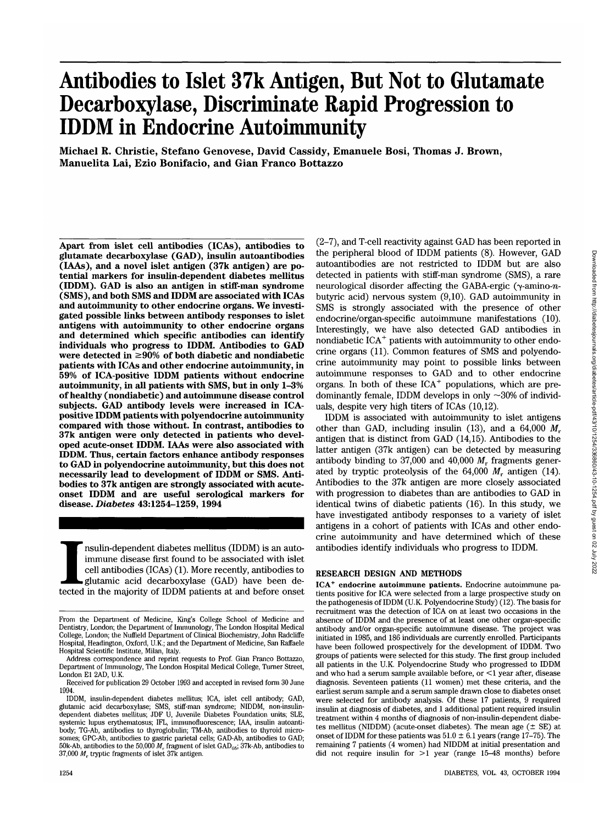# **Antibodies to Islet 37k Antigen, But Not to Glutamate Decarboxylase, Discriminate Rapid Progression to IDDM in Endocrine Autoimmunity**

**Michael R. Christie, Stefano Genovese, David Cassidy, Emanuele Bosi, Thomas J. Brown, Manuelita Lai, Ezio Bonifacio, and Gian Franco Bottazzo**

**Apart from islet cell antibodies (ICAs), antibodies to glutamate decarboxylase (GAD), insulin autoantibodies (IAAs), and a novel islet antigen (37k antigen) are potential markers for insulin-dependent diabetes mellitus (IDDM). GAD is also an antigen in stiff-man syndrome (SMS), and both SMS and IDDM are associated with ICAs and autoimmunity to other endocrine organs. We investigated possible links between antibody responses to islet antigens with autoimmunity to other endocrine organs and determined which specific antibodies can identify individuals who progress to IDDM. Antibodies to GAD** were detected in  $\geq 90\%$  of both diabetic and nondiabetic **patients with ICAs and other endocrine autoimmunity, in 59% of ICA-positive IDDM patients without endocrine autoimmunity, in all patients with SMS, but in only 1-3% of healthy (nondiabetic) and autoimmune disease control subjects. GAD antibody levels were increased in ICApositive IDDM patients with polyendocrine autoimmunity compared with those without. In contrast, antibodies to 37k antigen were only detected in patients who developed acute-onset IDDM. IAAs were also associated with IDDM. Thus, certain factors enhance antibody responses to GAD in polyendocrine autoimmunity, but this does not necessarily lead to development of IDDM or SMS. Antibodies to 37k antigen are strongly associated with acuteonset IDDM and are useful serological markers for disease.** *Diabetes* **43:1254-1259, 1994**

nsulin-dependent diabetes mellitus (IDDM) is an auto-<br>immune disease first found to be associated with islet<br>cell antibodies (ICAs) (1). More recently, antibodies to<br>glutamic acid decarboxylase (GAD) have been de-<br>tected i nsulin-dependent diabetes mellitus (IDDM) is an autoimmune disease first found to be associated with islet cell antibodies (ICAs) (1). More recently, antibodies to glutamic acid decarboxylase (GAD) have been de-

(2-7), and T-cell reactivity against GAD has been reported in the peripheral blood of IDDM patients (8). However, GAD autoantibodies are not restricted to IDDM but are also detected in patients with stiff-man syndrome (SMS), a rare neurological disorder affecting the GABA-ergic ( $\gamma$ -amino-nbutyric acid) nervous system (9,10). GAD autoimmunity in SMS is strongly associated with the presence of other endocrine/organ-specific autoimmune manifestations (10). Interestingly, we have also detected GAD antibodies in nondiabetic ICA<sup>+</sup> patients with autoimmunity to other endocrine organs (11). Common features of SMS and polyendocrine autoimmunity may point to possible links between autoimmune responses to GAD and to other endocrine organs. In both of these  $ICA^+$  populations, which are predominantly female, IDDM develops in only  $\sim$ 30% of individuals, despite very high titers of ICAs (10,12).

IDDM is associated with autoimmunity to islet antigens other than GAD, including insulin (13), and a 64,000 *Mr* antigen that is distinct from GAD (14,15). Antibodies to the latter antigen (37k antigen) can be detected by measuring antibody binding to 37,000 and 40,000 *Mr* fragments generated by tryptic proteolysis of the 64,000 *Mr* antigen (14). Antibodies to the 37k antigen are more closely associated with progression to diabetes than are antibodies to GAD in identical twins of diabetic patients (16). In this study, we have investigated antibody responses to a variety of islet antigens in a cohort of patients with ICAs and other endocrine autoimmunity and have determined which of these antibodies identify individuals who progress to IDDM.

## **RESEARCH DESIGN AND METHODS**

**ICA<sup>+</sup> endocrine autoimmune patients.** Endocrine autoimmune patients positive for ICA were selected from a large prospective study on the pathogenesis of IDDM (U.K. Polyendocrine Study) (12). The basis for recruitment was the detection of ICA on at least two occasions in the absence of IDDM and the presence of at least one other organ-specific antibody and/or organ-specific autoimmune disease. The project was initiated in 1985, and 186 individuals are currently enrolled. Participants have been followed prospectively for the development of IDDM. Two groups of patients were selected for this study. The first group included all patients in the U.K. Polyendocrine Study who progressed to IDDM and who had a serum sample available before, or  $\leq$  1 year after, disease diagnosis. Seventeen patients (11 women) met these criteria, and the earliest serum sample and a serum sample drawn close to diabetes onset were selected for antibody analysis. Of these 17 patients, 9 required insulin at diagnosis of diabetes, and 1 additional patient required insulin treatment within 4 months of diagnosis of non-insulin-dependent diabetes mellitus (NIDDM) (acute-onset diabetes). The mean age  $(±$  SE) at onset of IDDM for these patients was  $51.0 \pm 6.1$  years (range 17-75). The remaining 7 patients (4 women) had NIDDM at initial presentation and did not require insulin for  $>1$  year (range 15-48 months) before

From the Department of Medicine, King's College School of Medicine and Dentistry, London; the Department of Immunology, The London Hospital Medical College, London; the Nuffield Department of Clinical Biochemistry, John Radcliffe Hospital, Headington, Oxford, U.K.; and the Department of Medicine, San Raffaele Hospital Scientific Institute, Milan, Italy.

Address correspondence and reprint requests to Prof. Gian Franco Bottazzo, Department of Immunology, The London Hospital Medical College, Turner Street, London El 2AD, U.K.

Received for publication 29 October 1993 and accepted in revised form 30 June 1994.

IDDM, insulin-dependent diabetes mellitus; ICA, islet cell antibody; GAD, glutamic acid decarboxylase; SMS, stiff-man syndrome; NIDDM, non-insulindependent diabetes mellitus; JDF U, Juvenile Diabetes Foundation units; SLE, systemic lupus erythematosus; IFL, immunofluorescence; IAA, insulin autoantibody; TG-Ab, antibodies to thyroglobulin; TM-Ab, antibodies to thyroid microsomes; GPC-Ab, antibodies to gastric parietal cells; GAD-Ab, antibodies to GAD; 50k-Ab, antibodies to the 50,000  $M_{\rm r}$  fragment of islet GAD<sub>65</sub>; 37k-Ab, antibodies to 37,000 *M*, tryptic fragments of islet 37k antigen.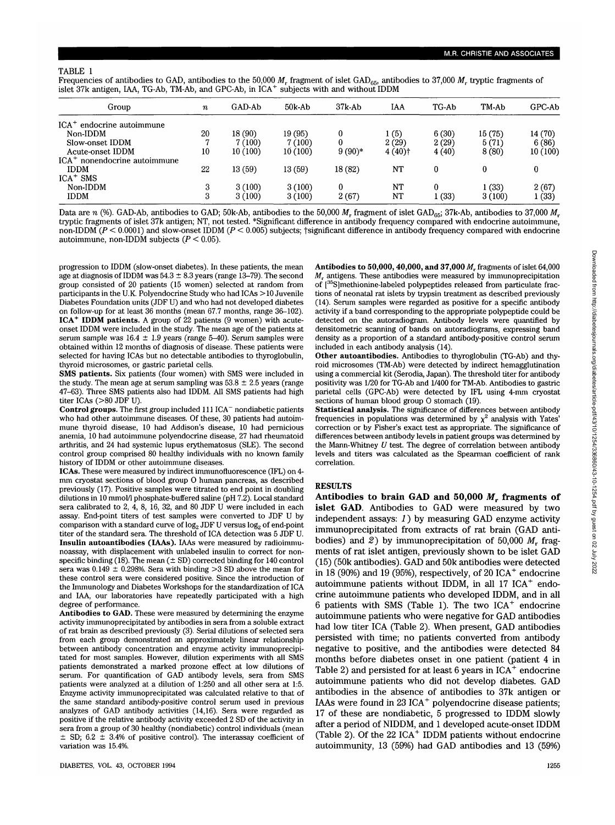Frequencies of antibodies to GAD, antibodies to the 50,000  $M_r$  fragment of islet GAD<sub>65</sub>, antibodies to 37,000  $M_r$  tryptic fragments of islet 37k antigen, IAA, TG-Ab, TM-Ab, and GPC-Ab, in ICA<sup>+</sup> subjects with and without IDDM

| Group                           | $\it n$ | GAD-Ab  | 50k-Ab  | $37k-Ab$ | IAA                  | TG-Ab        | TM-Ab   | GPC-Ab  |
|---------------------------------|---------|---------|---------|----------|----------------------|--------------|---------|---------|
| $ICA^+$<br>endocrine autoimmune |         |         |         |          |                      |              |         |         |
| Non-IDDM                        | 20      | 18(90)  | 19 (95) | 0        | 1(5)                 | 6(30)        | 15 (75) | 14 (70) |
| Slow-onset IDDM                 |         | 7 (100) | 7(100)  |          | 2(29)                | 2(29)        | 5(71)   | 6(86)   |
| Acute-onset IDDM                | 10      | 10(100) | 10(100) | $9(90)*$ | $4(40)$ <sup>+</sup> | 4(40)        | 8(80)   | 10(100) |
| $ICA+$ nonendocrine autoimmune  |         |         |         |          |                      |              |         |         |
| <b>IDDM</b>                     | 22      | 13 (59) | 13(59)  | 18 (82)  | NT                   | $\mathbf{0}$ |         |         |
| $ICA^+$ SMS                     |         |         |         |          |                      |              |         |         |
| Non-IDDM                        | 3       | 3(100)  | 3(100)  |          | NT                   | 0            | 1(33)   | 2(67)   |
| <b>IDDM</b>                     | 3       | 3(100)  | 3(100)  | 2(67)    | NT                   | 1(33)        | 3(100)  | 1 (33)  |

Data are *n* (%). GAD-Ab, antibodies to GAD; 50k-Ab, antibodies to the 50,000  $M_r$  fragment of islet GAD<sub>65</sub>; 37k-Ab, antibodies to 37,000  $M_r$ tryptic fragments of islet 37k antigen; NT, not tested. \*Signiflcant difference in antibody frequency compared with endocrine autoimmune, non-IDDM (P < 0.0001) and slow-onset IDDM *(P <* 0.005) subjects; tsignificant difference in antibody frequency compared with endocrine autoimmune, non-IDDM subjects *(P <* 0.05).

progression to IDDM (slow-onset diabetes). In these patients, the mean age at diagnosis of IDDM was  $54.3 \pm 8.3$  years (range 13-79). The second group consisted of 20 patients (15 women) selected at random from participants in the U.K. Polyendocrine Study who had ICAs >10 Juvenile Diabetes Foundation units (JDF U) and who had not developed diabetes on follow-up for at least 36 months (mean 67.7 months, range 36-102). **ICA+ IDDM patients.** A group of 22 patients (9 women) with acuteonset IDDM were included in the study. The mean age of the patients at serum sample was  $16.4 \pm 1.9$  years (range 5-40). Serum samples were obtained within 12 months of diagnosis of disease. These patients were selected for having ICAs but no detectable antibodies to thyroglobulin, thyroid microsomes, or gastric parietal cells.

**SMS patients.** Six patients (four women) with SMS were included in the study. The mean age at serum sampling was  $53.8 \pm 2.5$  years (range 47-63). Three SMS patients also had IDDM. All SMS patients had high titer ICAs (>80 JDF U).

Control groups. The first group included 111 ICA<sup>-</sup> nondiabetic patients who had other autoimmune diseases. Of these, 30 patients had autoimmune thyroid disease, 10 had Addison's disease, 10 had pernicious anemia, 10 had autoimmune polyendocrine disease, 27 had rheumatoid arthritis, and 24 had systemic lupus erythematosus (SLE). The second control group comprised 80 healthy individuals with no known family history of IDDM or other autoimmune diseases.

**ICAs.** These were measured by indirect immunofluorescence (IFL) on 4 mm cryostat sections of blood group O human pancreas, as described previously (17). Positive samples were titrated to end point in doubling dilutions in 10 mmol/1 phosphate-buffered saline (pH 7.2). Local standard sera calibrated to 2, 4, 8, 16, 32, and 80 JDF U were included in each assay. End-point titers of test samples were converted to JDF U by comparison with a standard curve of  $log_2$  JDF U versus  $log_2$  of end-point titer of the standard sera. The threshold of ICA detection was 5 JDF U. **Insulin autoantibodies (IAAs).** IAAs were measured by radioimmunoassay, with displacement with unlabeled insulin to correct for non-<br>specific binding (18). The mean ( $\pm$  SD) corrected binding for 140 control<br>sera was  $0.149 \pm 0.298\%$ . Sera with binding >3 SD above the mean for<br>thes the Immunology and Diabetes Workshops for the standardization of ICA and IAA, our laboratories have repeatedly participated with a high degree of performance.

**Antibodies to GAD.** These were measured by determining the enzyme activity immunoprecipitated by antibodies in sera from a soluble extract of rat brain as described previously (3). Serial dilutions of selected sera from each group demonstrated an approximately linear relationship between antibody concentration and enzyme activity immunoprecipitated for most samples. However, dilution experiments with all SMS patients demonstrated a marked prozone effect at low dilutions of serum. For quantification of GAD antibody levels, sera from SMS patients were analyzed at a dilution of 1:250 and all other sera at 1:5. Enzyme activity immunoprecipitated was calculated relative to that of the same standard antibody-positive control serum used in previous analyzes of GAD antibody activities (14,16). Sera were regarded as positive if the relative antibody activity exceeded 2 SD of the activity in sera from a group of 30 healthy (nondiabetic) control individuals (mean  $\pm$  SD; 6.2  $\pm$  3.4% of positive control). The interassay coefficient of variation was 15.4%.

**Antibodies to 50,000, 40,000, and 37,000**  $M_r$  **fragments of islet 64,000**  $M_r$  antigens. These antibodies were measured by immunoprecipitation of  $1^{35}$ SImethionine-labeled polyneptides released from particulate frac-<sup>5</sup>S]methionine-labeled polypeptides released from particulate fractions of neonatal rat islets by trypsin treatment as described previously (14). Serum samples were regarded as positive for a specific antibody activity if a band corresponding to the appropriate polypeptide could be detected on the autoradiogram. Antibody levels were quantified by densitometric scanning of bands on autoradiograms, expressing band density as a proportion of a standard antibody-positive control serum included in each antibody analysis (14).

**Other autoantibodies.** Antibodies to thyroglobulin (TG-Ab) and thy- roid microsomes (TM-Ab) were detected by indirect hemagglutination using a commercial kit (Serodia, Japan). The threshold titer for antibody positivity was 1/20 for TG-Ab and 1/400 for TM-Ab. Antibodies to gastric parietal cells (GPC-Ab) were detected by IFL using 4-mm cryostat sections of human blood group O stomach (19).

**Statistical analysis.** The significance of differences between antibody frequencies in populations was determined by  $\chi^2$  analysis with Yates correction or by Fisher's exact test as appropriate. The significance of differences between antibody levels in patient groups was determined by the Mann-Whitney *U* test. The degree of correlation between antibody levels and titers was calculated as the Spearman coefficient of rank correlation.

#### **RESULTS**

**Antibodies to brain GAD and 50,000** *Mr* **fragments of islet GAD.** Antibodies to GAD were measured by two independent assays: *1*) by measuring GAD enzyme activity immunoprecipitated from extracts of rat brain (GAD antibodies) and *2~)* by immunoprecipitation of 50,000 *Mr* fragments of rat islet antigen, previously shown to be islet GAD (15) (50k antibodies). GAD and 50k antibodies were detected in  $18(90%)$  and  $19(95%)$ , respectively, of 20 ICA<sup>+</sup> endocrine autoimmune patients without IDDM, in all 17  $ICA^+$  endocrine autoimmune patients who developed IDDM, and in all  $6$  patients with SMS (Table 1). The two  $ICA^+$  endocrine autoimmune patients who were negative for GAD antibodies had low titer ICA (Table 2). When present, GAD antibodies persisted with time; no patients converted from antibody negative to positive, and the antibodies were detected 84 months before diabetes onset in one patient (patient 4 in Table 2) and persisted for at least 6 years in ICA<sup>+</sup> endocrine autoimmune patients who did not develop diabetes. GAD antibodies in the absence of antibodies to 37k antigen or anassares in the assence of analogues to six anagen of 17 of these are nondiabetic, 5 progressed to IDDM slowly after a period of NIDDM, and 1 developed acute-onset IDDM (Table 2). Of the 22 ICA<sup>+</sup> IDDM patients without endocrine autoimmunity, 13 (59%) had GAD antibodies and 13 (59%)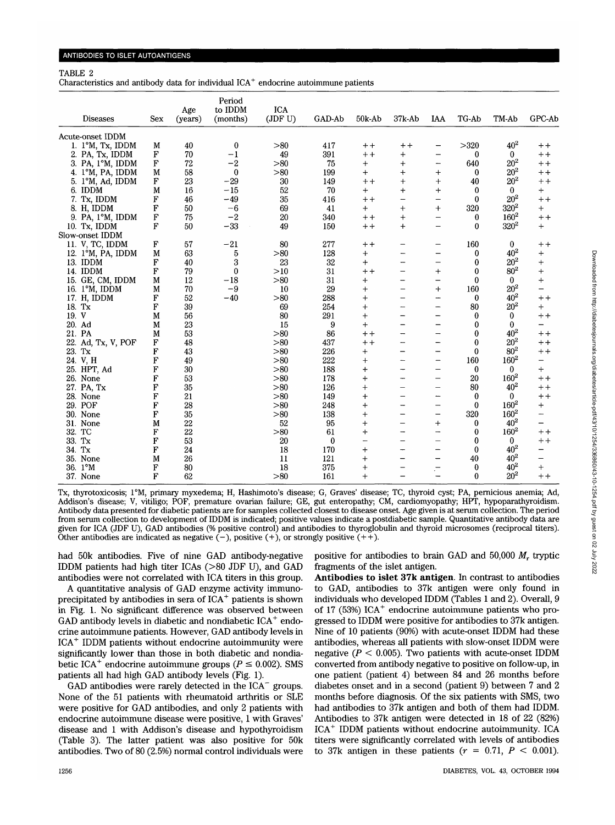### ANTIBODIES TO ISLET AUTOANTIGENS

#### TABLE 2

Characteristics and antibody data for individual  $ICA^+$  endocrine autoimmune patients

| <b>Diseases</b>             | <b>Sex</b> | Age<br>(years) | Period<br>to IDDM<br>(months) | <b>ICA</b><br>(JDF U) | GAD-Ab | $50k-Ab$   | 37k-Ab                   | <b>IAA</b>               | TG-Ab        | TM-Ab           | GPC-Ab                          |
|-----------------------------|------------|----------------|-------------------------------|-----------------------|--------|------------|--------------------------|--------------------------|--------------|-----------------|---------------------------------|
| <b>Acute-onset IDDM</b>     |            |                |                               |                       |        |            |                          |                          |              |                 |                                 |
| 1. 1°M, Tx, IDDM            | M          | 40             | 0                             | > 80                  | 417    | $++$       | $++$                     |                          | >320         | 40 <sup>2</sup> | $+ +$                           |
| 2. PA, Tx, IDDM             | F          | 70             | $-1$                          | 49                    | 391    | $++$       | $^{+}$                   | $\qquad \qquad -$        | $\mathbf{0}$ | $\mathbf{0}$    | $+ +$                           |
| 3. PA, 1°M, IDDM            | F          | 72             | $-2$                          | > 80                  | 75     | $^{+}$     | $^{+}$                   | $\overline{\phantom{m}}$ | 640          | 20 <sup>2</sup> | $+ +$                           |
| 4. 1°M, PA, IDDM            | M          | 58             | $\boldsymbol{0}$              | > 80                  | 199    | $\ddot{+}$ | $\ddot{}$                | $\ddot{}$                | $\bf{0}$     | $20^{2}$        | $+ +$                           |
| 5. 1°M, Ad, IDDM            | F          | 23             | $-29$                         | 30                    | 149    | $++$       | $^{+}$                   | $^{+}$                   | 40           | 20 <sup>2</sup> | $+ +$                           |
| 6. IDDM                     | M          | 16             | $-15$                         | 52                    | 70     | $+$        | $\ddot{}$                | $\ddot{}$                | $\mathbf{0}$ | $\bf{0}$        | $+$                             |
| 7. Tx, IDDM                 | F          | 46             | $-49$                         | 35                    | 416    | $+ +$      | —                        | $\overline{\phantom{0}}$ | $\mathbf{0}$ | $20^{2}$        | $+ +$                           |
| 8. H, IDDM                  | F          | 50             | $-6$                          | 69                    | 41     | $+$        | $^{+}$                   | $\ddot{}$                | 320          | $320^2$         | $\ddot{}$                       |
| 9. PA, 1°M, IDDM            | F          | 75             | $-2$                          | 20                    | 340    | $+ +$      | $^{+}$                   | $\overline{\phantom{0}}$ | $\bf{0}$     | $160^2$         | $^+$                            |
| 10. Tx, IDDM                | F          | 50             | $-33$                         | 49                    | 150    | $+ +$      | $+$                      | -                        | $\mathbf{0}$ | $320^2$         | $^{+}$                          |
| Slow-onset IDDM             |            |                |                               |                       |        |            |                          |                          |              |                 |                                 |
| 11. V, TC, IDDM             | F          | 57             | $-21$                         | 80                    | 277    | $++$       | $\qquad \qquad$          | $\qquad \qquad$          | 160          | $\bf{0}$        | $^{\mathrm{+}}$                 |
| 12. $1^{\circ}M$ , PA, IDDM | M          | 63             | 5                             | > 80                  | 128    | $^{+}$     | —                        | $\overline{\phantom{0}}$ | 0            | $40^{2}$        | $\hbox{+}$                      |
| 13. IDDM                    | F          | 40             | 3                             | 23                    | 32     | $\ddot{}$  | -                        | -                        | 0            | $20^2$          | $^{+}$                          |
| 14. IDDM                    | F          | 79             | $\bf{0}$                      | >10                   | 31     | $+ +$      | —                        | $\overline{+}$           | 0            | 80 <sup>2</sup> | $\ddot{}$                       |
| 15. GE, CM, IDDM            | M          | 12             | $-18$                         | > 80                  | 31     | $^{+}$     | —                        | $\overline{\phantom{0}}$ | 0            | $\bf{0}$        | $\ddot{}$                       |
| 16. 1°M, IDDM               | M          | 70             | $-9$                          | 10                    | 29     | $^{+}$     | $\overline{\phantom{0}}$ | $\ddot{}$                | 160          | $20^2\,$        | —                               |
| 17. H, IDDM                 | F          | 52             | $-40$                         | > 80                  | 288    | $\ddot{}$  | —                        | $\overline{\phantom{0}}$ | $\bf{0}$     | 40 <sup>2</sup> | $^{\mathrm{+}}$ $^{\mathrm{+}}$ |
| 18. Tx                      | F          | 39             |                               | 69                    | 254    | $\ddot{}$  | -                        | <b>.</b>                 | 80           | 20 <sup>2</sup> | $\ddot{}$                       |
| 19. V                       | M          | 56             |                               | 80                    | 291    | $\ddot{}$  | —                        | —                        | 0            | 0               | $^{\mathrm{+}}$ $^{\mathrm{+}}$ |
| 20. Ad                      | M          | 23             |                               | 15                    | 9      | $^{+}$     | —                        | -                        | 0            | 0               | -                               |
| 21. PA                      | M          | 53             |                               | > 80                  | 86     | $+ +$      | -                        | -                        | 0            | 40 <sup>2</sup> | $^+$                            |
| 22.<br>Ad, Tx, V, POF       | F          | 48             |                               | > 80                  | 437    | $++$       |                          | $\overline{\phantom{0}}$ | 0            | 20 <sup>2</sup> | $+ +$                           |
| 23.<br>Tx                   | F          | 43             |                               | > 80                  | 226    | $^{+}$     | —                        | -                        | 0            | 80 <sup>2</sup> | $^+$                            |
| 24. V, H                    | F          | 49             |                               | > 80                  | 222    | $^{+}$     | —                        | $\overline{\phantom{0}}$ | 160          | $160^2$         | -                               |
| 25. HPT, Ad                 | F          | 30             |                               | > 80                  | 188    | $\ddot{}$  | —                        | $\overline{\phantom{0}}$ | $\bf{0}$     | $\mathbf{0}$    | $^{+}$                          |
| 26. None                    | F          | 53             |                               | > 80                  | 178    | $^{+}$     | -                        | —                        | 20           | $160^2$         | $^+$ $^+$                       |
| 27. PA, Tx                  | F          | 35             |                               | > 80                  | 126    | $\ddot{}$  | —                        | —                        | 80           | $40^2$          | $+ +$                           |
| 28. None                    | F          | 21             |                               | > 80                  | 149    | $+$        | $\overline{\phantom{0}}$ | -                        | $\bf{0}$     | $\mathbf{0}$    | $^{\mathrm{+}}$                 |
| 29. POF                     | F          | 28             |                               | > 80                  | 248    | $\ddot{}$  | -                        | —                        | $\bf{0}$     | $160^{2}$       | $\ddot{}$                       |
| 30. None                    | F          | 35             |                               | > 80                  | 138    | $^{+}$     | -                        | -                        | 320          | $160^2$         | -                               |
| 31. None                    | M          | 22             |                               | 52                    | 95     | $\ddot{}$  | -                        | $^{+}$                   | 0            | $40^{2}$        | —                               |
| 32.<br>TC                   | F          | 22             |                               | > 80                  | 61     | $+$        | -                        | -                        | 0            | $160^2$         | $+ +$                           |
| 33. Tx                      | F          | 53             |                               | 20                    | 0      |            | $\overline{\phantom{0}}$ | $\overline{\phantom{0}}$ | 0            | $\mathbf{0}$    | $+ +$                           |
| 34. Tx                      | F          | 24             |                               | 18                    | 170    | $+$        | -                        | <b></b>                  | $\mathbf{0}$ | 40 <sup>2</sup> | —                               |
| 35. None                    | M          | 26             |                               | 11                    | 121    | $\ddag$    | -                        | -                        | 40           | 40 <sup>2</sup> | —                               |
| 36. 1°M                     | F          | 80             |                               | 18                    | 375    | $\ddot{}$  |                          |                          | 0            | $40^2$          | $+$                             |
| 37. None                    | F          | 62             |                               | > 80                  | 161    | $+$        | —                        |                          | $\bf{0}$     | 20 <sup>2</sup> | $+ +$                           |

Tx, thyrotoxicosis; 1°M, primary myxedema; H, Hashimoto's disease; G, Graves' disease; TC, thyroid cyst; PA, pernicious anemia; Ad, Addison's disease; V, vitiligo; POF, premature ovarian failure; GE, gut enteropathy; CM, cardiomyopathy; HPT, hypoparathyroidism. Antibody data presented for diabetic patients are for samples collected closest to disease onset. Age given is at serum collection. The period from serum collection to development of IDDM is indicated; positive values indicate a postdiabetic sample. Quantitative antibody data are given for ICA (JDF U), GAD antibodies (% positive control) and antibodies to thyroglobulin and thyroid microsomes (reciprocal titers). Other antibodies are indicated as negative  $(-)$ , positive  $(+)$ , or strongly positive  $(+)$ .

had 50k antibodies. Five of nine GAD antibody-negative IDDM patients had high titer ICAs (>80 JDF U), and GAD antibodies were not correlated with ICA titers in this group.

A quantitative analysis of GAD enzyme activity immunoprecipitated by antibodies in sera of  $\text{ICA}^+$  patients is shown in Fig. 1. No significant difference was observed between GAD antibody levels in diabetic and nondiabetic  $\text{ICA}^+$  endocrine autoimmune patients. However, GAD antibody levels in ICA<sup>+</sup> IDDM patients without endocrine autoimmunity were significantly lower than those in both diabetic and nondiabetic ICA<sup>+</sup> endocrine autoimmune groups ( $P \le 0.002$ ). SMS patients all had high GAD antibody levels (Fig. 1).

GAD antibodies were rarely detected in the  $ICA^-$  groups. None of the 51 patients with rheumatoid arthritis or SLE were positive for GAD antibodies, and only 2 patients with endocrine autoimmune disease were positive, 1 with Graves' disease and 1 with Addison's disease and hypothyroidism (Table 3). The latter patient was also positive for 50k antibodies. Two of 80 (2.5%) normal control individuals were

positive for antibodies to brain GAD and 50,000 *Mr* tryptic fragments of the islet antigen.

**Antibodies to islet 37k antigen.** In contrast to antibodies to GAD, antibodies to 37k antigen were only found in individuals who developed IDDM (Tables 1 and 2). Overall, 9 of 17 (53%) ICA<sup>+</sup> endocrine autoimmune patients who progressed to IDDM were positive for antibodies to 37k antigen. Nine of 10 patients (90%) with acute-onset IDDM had these antibodies, whereas all patients with slow-onset IDDM were negative  $(P < 0.005)$ . Two patients with acute-onset IDDM converted from antibody negative to positive on follow-up, in one patient (patient 4) between 84 and 26 months before diabetes onset and in a second (patient 9) between 7 and 2 months before diagnosis. Of the six patients with SMS, two had antibodies to 37k antigen and both of them had IDDM. Antibodies to 37k antigen were detected in 18 of 22 (82%) ICA<sup>+</sup> IDDM patients without endocrine autoimmunity. ICA titers were significantly correlated with levels of antibodies to 37k antigen in these patients  $(r = 0.71, P < 0.001)$ .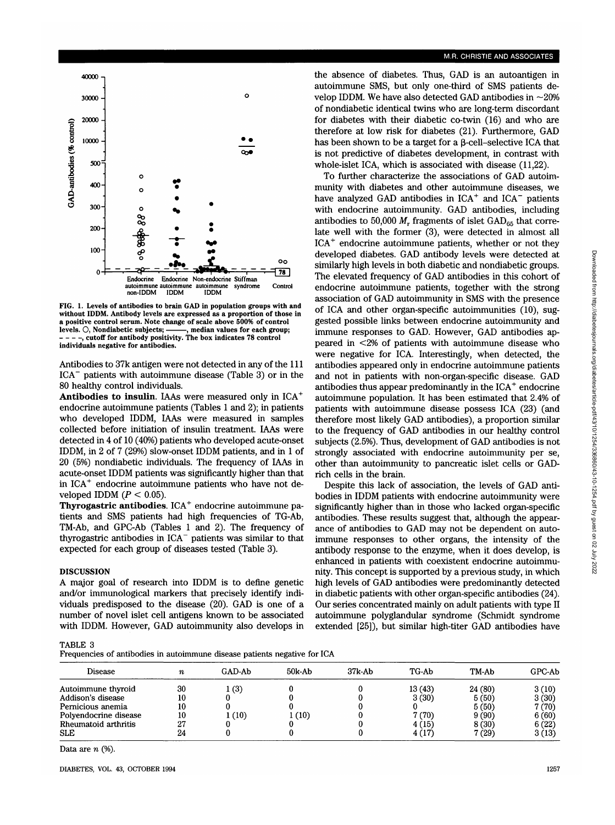

**FIG. 1. Levels of antibodies to brain GAD in population groups with and without IDDM. Antibody levels are expressed as a proportion of those in a positive control serum. Note change of scale above 500% of control** levels.  $\bigcirc$ , Nondiabetic subjects; ———, median values for each group; **, cutoff for antibody positivity. The box indicates 78 control individuals negative for antibodies.**

Antibodies to 37k antigen were not detected in any of the 111 ICA~ patients with autoimmune disease (Table 3) or in the 80 healthy control individuals.

**Antibodies to insulin.** IAAs were measured only in ICA<sup>+</sup> endocrine autoimmune patients (Tables 1 and 2); in patients who developed IDDM, IAAs were measured in samples collected before initiation of insulin treatment. IAAs were detected in 4 of 10 (40%) patients who developed acute-onset IDDM, in 2 of 7 (29%) slow-onset IDDM patients, and in 1 of 20 (5%) nondiabetic individuals. The frequency of IAAs in acute-onset IDDM patients was significantly higher than that in ICA<sup>+</sup> endocrine autoimmune patients who have not developed IDDM *(P <* 0.05).

**Thyrogastric antibodies.** ICA<sup>+</sup> endocrine autoimmune patients and SMS patients had high frequencies of TG-Ab, TM-Ab, and GPC-Ab (Tables 1 and 2). The frequency of thyrogastric antibodies in ICA~ patients was similar to that expected for each group of diseases tested (Table 3).

#### DISCUSSION

A major goal of research into IDDM is to define genetic and/or immunological markers that precisely identify individuals predisposed to the disease (20). GAD is one of a number of novel islet cell antigens known to be associated with IDDM. However, GAD autoimmunity also develops in the absence of diabetes. Thus, GAD is an autoantigen in autoimmune SMS, but only one-third of SMS patients develop IDDM. We have also detected GAD antibodies in —20% of nondiabetic identical twins who are long-term discordant for diabetes with their diabetic co-twin (16) and who are therefore at low risk for diabetes (21). Furthermore, GAD has been shown to be a target for a  $\beta$ -cell-selective ICA that is not predictive of diabetes development, in contrast with whole-islet ICA, which is associated with disease (11,22).

To further characterize the associations of GAD autoimmunity with diabetes and other autoimmune diseases, we have analyzed GAD antibodies in  $ICA^+$  and  $ICA^-$  patients with endocrine autoimmunity. GAD antibodies, including antibodies to 50,000  $M_r$  fragments of islet GAD<sub>65</sub> that correlate well with the former (3), were detected in almost all ICA<sup>+</sup> endocrine autoimmune patients, whether or not they developed diabetes. GAD antibody levels were detected at similarly high levels in both diabetic and nondiabetic groups. The elevated frequency of GAD antibodies in this cohort of endocrine autoimmune patients, together with the strong association of GAD autoimmunity in SMS with the presence of ICA and other organ-specific autoimmunities (10), suggested possible links between endocrine autoimmunity and immune responses to GAD. However, GAD antibodies appeared in <2% of patients with autoimmune disease who were negative for ICA. Interestingly, when detected, the antibodies appeared only in endocrine autoimmune patients and not in patients with non-organ-specific disease. GAD  $r_{\text{t}}$  antibodies thus appear predominantly in the ICA $^+$  endocrine autoimmune population. It has been estimated that 2.4% of patients with autoimmune disease possess ICA (23) (and therefore most likely GAD antibodies), a proportion similar to the frequency of GAD antibodies in our healthy control subjects (2.5%). Thus, development of GAD antibodies is not strongly associated with endocrine autoimmunity per se, other than autoimmunity to pancreatic islet cells or GADrich cells in the brain.

Despite this lack of association, the levels of GAD antibodies in IDDM patients with endocrine autoimmunity were significantly higher than in those who lacked organ-specific antibodies. These results suggest that, although the appearance of antibodies to GAD may not be dependent on autoimmune responses to other organs, the intensity of the antibody response to the enzyme, when it does develop, is enhanced in patients with coexistent endocrine autoimmunity. This concept is supported by a previous study, in which high levels of GAD antibodies were predominantly detected in diabetic patients with other organ-specific antibodies (24). Our series concentrated mainly on adult patients with type II autoimmune polyglandular syndrome (Schmidt syndrome extended [25]), but similar high-titer GAD antibodies have

TABLE 3

Frequencies of antibodies in autoimmune disease patients negative for ICA

| Disease               | $\pmb{n}$ | GAD-Ab | 50k-Ab | $37k-Ab$ | TG-Ab  | TM-Ab   | GPC-Ab |
|-----------------------|-----------|--------|--------|----------|--------|---------|--------|
| Autoimmune thyroid    | 30        | (3)    |        |          | 13(43) | 24 (80) | 3(10)  |
| Addison's disease     | 10        |        |        |          | 3(30)  | 5(50)   | 3(30)  |
| Pernicious anemia     | 10        |        |        |          |        | 5(50)   | 7(70)  |
| Polyendocrine disease | 10        | l (10) | (10)   |          | 7(70)  | 9(90)   | 6(60)  |
| Rheumatoid arthritis  | 27        |        |        |          | 4(15)  | 8(30)   | 6(22)  |
| <b>SLE</b>            | 24        |        |        |          | 4(17)  | 7(29)   | 3(13)  |

Data are *n (%).*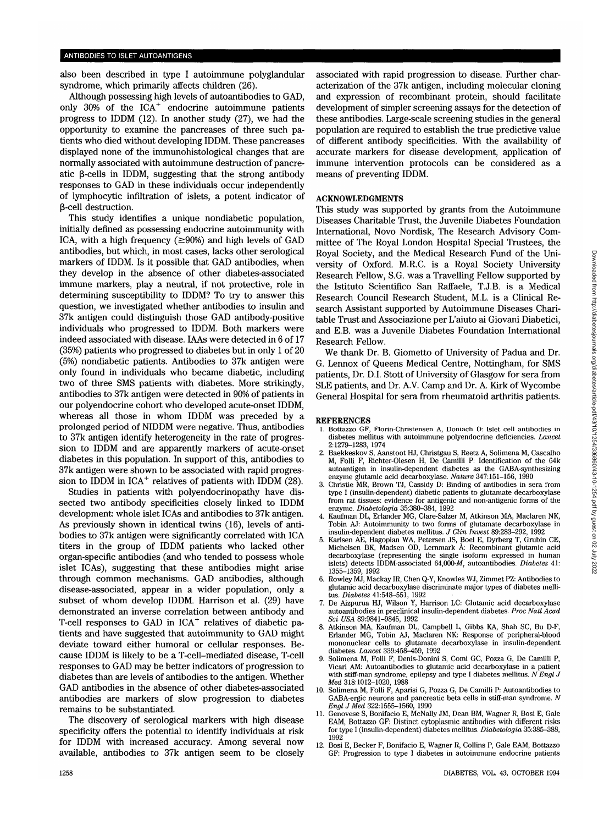also been described in type I autoimmune polyglandular syndrome, which primarily affects children (26).

Although possessing high levels of autoantibodies to GAD, only  $30\%$  of the  $ICA^+$  endocrine autoimmune patients progress to IDDM (12). In another study (27), we had the opportunity to examine the pancreases of three such patients who died without developing IDDM. These pancreases displayed none of the immunohistological changes that are normally associated with autoimmune destruction of pancreatic  $\beta$ -cells in IDDM, suggesting that the strong antibody responses to GAD in these individuals occur independently of lymphocytic infiltration of islets, a potent indicator of (3-cell destruction.

This study identifies a unique nondiabetic population, initially defined as possessing endocrine autoimmunity with ICA, with a high frequency ( $\geq$ 90%) and high levels of GAD antibodies, but which, in most cases, lacks other serological markers of IDDM. Is it possible that GAD antibodies, when they develop in the absence of other diabetes-associated immune markers, play a neutral, if not protective, role in determining susceptibility to IDDM? To try to answer this question, we investigated whether antibodies to insulin and 37k antigen could distinguish those GAD antibody-positive individuals who progressed to IDDM. Both markers were indeed associated with disease. IAAs were detected in 6 of 17 (35%) patients who progressed to diabetes but in only 1 of 20 (5%) nondiabetic patients. Antibodies to 37k antigen were only found in individuals who became diabetic, including two of three SMS patients with diabetes. More strikingly, antibodies to 37k antigen were detected in 90% of patients in our polyendocrine cohort who developed acute-onset IDDM, whereas all those in whom IDDM was preceded by a prolonged period of NIDDM were negative. Thus, antibodies to 37k antigen identify heterogeneity in the rate of progression to IDDM and are apparently markers of acute-onset diabetes in this population. In support of this, antibodies to 37k antigen were shown to be associated with rapid progression to IDDM in ICA<sup>+</sup> relatives of patients with IDDM (28).

Studies in patients with polyendocrinopathy have dissected two antibody specificities closely linked to IDDM development: whole islet ICAs and antibodies to 37k antigen. As previously shown in identical twins (16), levels of antibodies to 37k antigen were significantly correlated with ICA titers in the group of IDDM patients who lacked other organ-specific antibodies (and who tended to possess whole islet ICAs), suggesting that these antibodies might arise through common mechanisms. GAD antibodies, although disease-associated, appear in a wider population, only a subset of whom develop IDDM. Harrison et al. (29) have demonstrated an inverse correlation between antibody and T-cell responses to GAD in  $ICA^+$  relatives of diabetic patients and have suggested that autoimmunity to GAD might deviate toward either humoral or cellular responses. Because IDDM is likely to be a T-cell-mediated disease, T-cell responses to GAD may be better indicators of progression to diabetes than are levels of antibodies to the antigen. Whether GAD antibodies in the absence of other diabetes-associated antibodies are markers of slow progression to diabetes remains to be substantiated.

The discovery of serological markers with high disease specificity offers the potential to identify individuals at risk for IDDM with increased accuracy. Among several now available, antibodies to 37k antigen seem to be closely

associated with rapid progression to disease. Further characterization of the 37k antigen, including molecular cloning and expression of recombinant protein, should facilitate development of simpler screening assays for the detection of these antibodies. Large-scale screening studies in the general population are required to establish the true predictive value of different antibody specificities. With the availability of accurate markers for disease development, application of immune intervention protocols can be considered as a means of preventing IDDM.

## ACKNOWLEDGMENTS

This study was supported by grants from the Autoimmune Diseases Charitable Trust, the Juvenile Diabetes Foundation International, Novo Nordisk, The Research Advisory Committee of The Royal London Hospital Special Trustees, the Royal Society, and the Medical Research Fund of the University of Oxford. M.R.C. is a Royal Society University Research Fellow, S.G. was a Travelling Fellow supported by the Istituto Scientifico San Raffaele, T.J.B. is a Medical Research Council Research Student, M.L. is a Clinical Research Assistant supported by Autoimmune Diseases Charitable Trust and Associazione per L'aiuto ai Giovani Diabetici, and E.B. was a Juvenile Diabetes Foundation International Research Fellow.

We thank Dr. B. Giometto of University of Padua and Dr. G. Lennox of Queens Medical Centre, Nottingham, for SMS patients, Dr. D.I. Stott of University of Glasgow for sera from SLE patients, and Dr. A.V. Camp and Dr. A. Kirk of Wycombe General Hospital for sera from rheumatoid arthritis patients.

#### REFERENCES

- 1. Bottazzo GF, Florin-Christensen A, Doniach D: Islet cell antibodies in diabetes mellitus with autoimmune polyendocrine deficiencies. *Lancet* 2:1279-1283, 1974
- 2. Baekkeskov S, Aanstoot HJ, Christgau S, Reetz A, Solimena M, Cascalho M, Folli F, Richter-Olesen H, De Camilli P: Identification of the 64k autoantigen in insulin-dependent diabetes as the GABA-synthesizing enzyme glutamic acid decarboxylase. *Nature* 347:151-156, 1990
- 3. Christie MR, Brown TJ, Cassidy D: Binding of antibodies in sera from type I (insulin-dependent) diabetic patients to glutamate decarboxylase from rat tissues: evidence for antigenic and non-antigenic forms of the enzyme. *Diabetologia* 35:380-384, 1992
- 4. Kaufman DL, Erlander MG, Clare-Salzer M, Atkinson MA, Maclaren NK, Tobin AJ: Autoimmunity to two forms of glutamate decarboxylase in insulin-dependent diabetes mellitus. *J Clin Invest* 89:283-292, 1992
- 5. Karlsen AE, Hagopian WA, Petersen JS, Boel E, Dyrberg T, Grubin CE, Michelsen BK, Madsen OD, Lernmark A: Recombinant glutamic acid decarboxylase (representing the single isoform expressed in human islets) detects IDDM-associated 64,000-M<sub>r</sub> autoantibodies. *Diabetes* 41: 1355-1359, 1992
- 6. Rowley MJ, Mackay IR, Chen Q-Y, Knowles WJ, Zimmet PZ: Antibodies to glutamic acid decarboxylase discriminate major types of diabetes mellitus. *Diabetes* 41:548-551, 1992
- 7. De Aizpurua HJ, Wilson Y, Harrison LC: Glutamic acid decarboxylase autoantibodies in preclinical insulin-dependent diabetes. *Proc Natl Acad Sci USA* 89:9841-9845, 1992
- 8. Atkinson MA, Kaufman DL, Campbell L, Gibbs KA, Shah SC, Bu D-F, Erlander MG, Tobin AJ, Maclaren NK: Response of peripheral-blood mononuclear cells to glutamate decarboxylase in insulin-dependent diabetes. *Lancet* 339:458-459, 1992
- 9. Solimena M, Folli F, Denis-Donini S, Comi GC, Pozza G, De Camilli P, Vicari AM: Autoantibodies to glutamic acid decarboxylase in a patient with stiff-man syndrome, epilepsy and type I diabetes mellitus. *N Engl J Med* 318:1012-1020, 1988
- 10. Solimena M, Folli F, Aparisi G, Pozza G, De Camilli P: Autoantibodies to GABA-ergic neurons and pancreatic beta cells in stiff-man syndrome. *N Engl J Med* 322:1555-1560, 1990
- 11. Genovese S, Bonifacio E, McNally JM, Dean BM, Wagner R, Bosi E, Gale EAM, Bottazzo GF: Distinct cytoplasmic antibodies with different risks for type I (insulin-dependent) diabetes mellitus. *Diabetologia* 35:385-388, 1992
- 12. Bosi E, Becker F, Bonifacio E, Wagner R, Collins P, Gale EAM, Bottazzo GF: Progression to type I diabetes in autoimmune endocrine patients